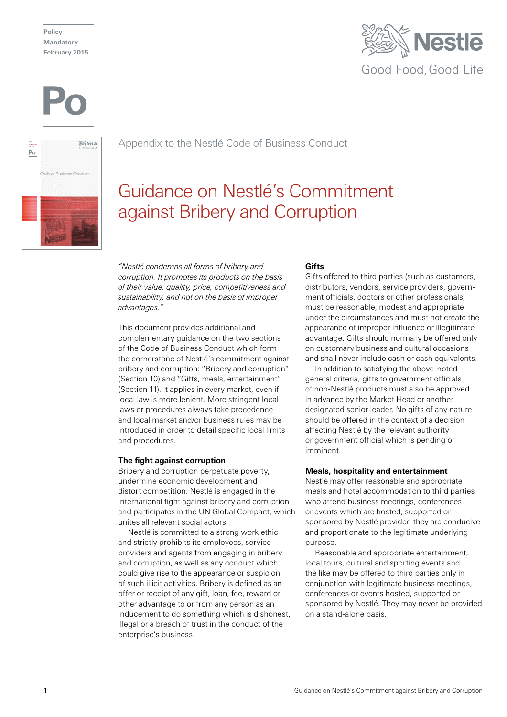**Policy Mandatory February 2015**





Appendix to the Nestlé Code of Business Conduct

# Guidance on Nestlé's Commitment against Bribery and Corruption

*"Nestlé condemns all forms of bribery and corruption. It promotes its products on the basis of their value, quality, price, competitiveness and sustainability, and not on the basis of improper advantages."*

This document provides additional and complementary guidance on the two sections of the Code of Business Conduct which form the cornerstone of Nestlé's commitment against bribery and corruption: "Bribery and corruption" (Section 10) and "Gifts, meals, entertainment" (Section 11). It applies in every market, even if local law is more lenient. More stringent local laws or procedures always take precedence and local market and/or business rules may be introduced in order to detail specific local limits and procedures.

# **The fight against corruption**

Bribery and corruption perpetuate poverty, undermine economic development and distort competition. Nestlé is engaged in the international fight against bribery and corruption and participates in the UN Global Compact, which unites all relevant social actors.

Nestlé is committed to a strong work ethic and strictly prohibits its employees, service providers and agents from engaging in bribery and corruption, as well as any conduct which could give rise to the appearance or suspicion of such illicit activities. Bribery is defined as an offer or receipt of any gift, loan, fee, reward or other advantage to or from any person as an inducement to do something which is dishonest, illegal or a breach of trust in the conduct of the enterprise's business.

## **Gifts**

Gifts offered to third parties (such as customers, distributors, vendors, service providers, government officials, doctors or other professionals) must be reasonable, modest and appropriate under the circumstances and must not create the appearance of improper influence or illegitimate advantage. Gifts should normally be offered only on customary business and cultural occasions and shall never include cash or cash equivalents.

In addition to satisfying the above-noted general criteria, gifts to government officials of non-Nestlé products must also be approved in advance by the Market Head or another designated senior leader. No gifts of any nature should be offered in the context of a decision affecting Nestlé by the relevant authority or government official which is pending or imminent.

## **Meals, hospitality and entertainment**

Nestlé may offer reasonable and appropriate meals and hotel accommodation to third parties who attend business meetings, conferences or events which are hosted, supported or sponsored by Nestlé provided they are conducive and proportionate to the legitimate underlying purpose.

Reasonable and appropriate entertainment, local tours, cultural and sporting events and the like may be offered to third parties only in conjunction with legitimate business meetings, conferences or events hosted, supported or sponsored by Nestlé. They may never be provided on a stand-alone basis.